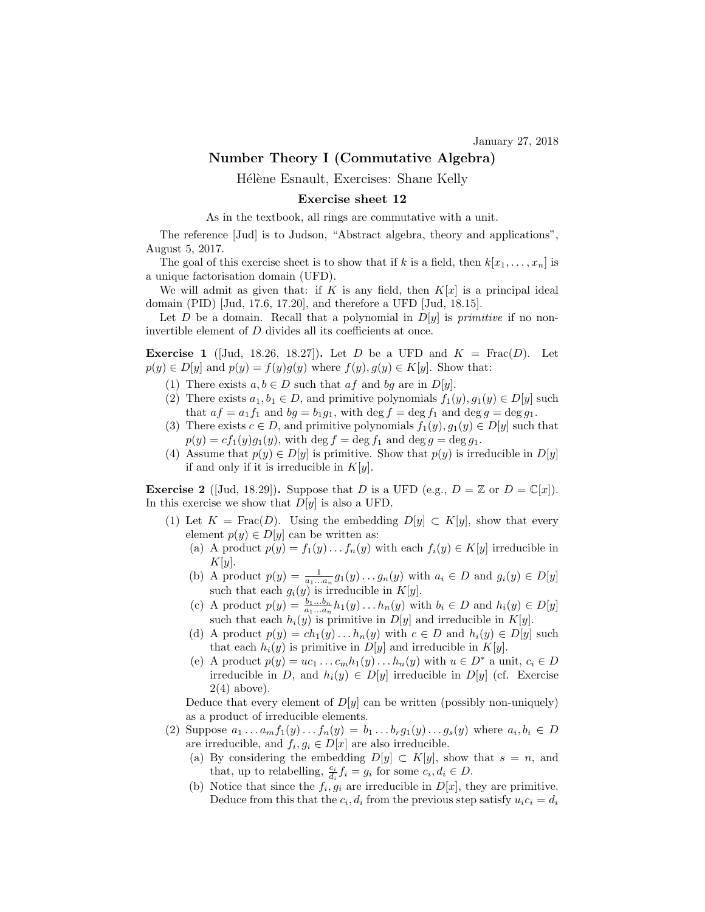## Number Theory I (Commutative Algebra)

Hélène Esnault, Exercises: Shane Kelly

## Exercise sheet 12

As in the textbook, all rings are commutative with a unit.

The reference [Jud] is to Judson, "Abstract algebra, theory and applications", August 5, 2017.

The goal of this exercise sheet is to show that if k is a field, then  $k[x_1, \ldots, x_n]$  is a unique factorisation domain (UFD).

We will admit as given that: if K is any field, then  $K[x]$  is a principal ideal domain (PID) [Jud, 17.6, 17.20], and therefore a UFD [Jud, 18.15].

Let D be a domain. Recall that a polynomial in  $D[y]$  is *primitive* if no noninvertible element of D divides all its coefficients at once.

**Exercise 1** (Jud, 18.26, 18.27). Let D be a UFD and  $K = \text{Frac}(D)$ . Let  $p(y) \in D[y]$  and  $p(y) = f(y)g(y)$  where  $f(y), g(y) \in K[y]$ . Show that:

- (1) There exists  $a, b \in D$  such that  $af$  and  $bg$  are in  $D[y]$ .
- (2) There exists  $a_1, b_1 \in D$ , and primitive polynomials  $f_1(y), g_1(y) \in D[y]$  such that  $af = a_1f_1$  and  $bg = b_1g_1$ , with  $\deg f = \deg f_1$  and  $\deg g = \deg g_1$ .
- (3) There exists  $c \in D$ , and primitive polynomials  $f_1(y), g_1(y) \in D[y]$  such that  $p(y) = cf<sub>1</sub>(y)g<sub>1</sub>(y)$ , with  $\deg f = \deg f<sub>1</sub>$  and  $\deg g = \deg g<sub>1</sub>$ .
- (4) Assume that  $p(y) \in D[y]$  is primitive. Show that  $p(y)$  is irreducible in  $D[y]$ if and only if it is irreducible in  $K[y]$ .

**Exercise 2** ([Jud, 18.29]). Suppose that D is a UFD (e.g.,  $D = \mathbb{Z}$  or  $D = \mathbb{C}[x]$ ). In this exercise we show that  $D[y]$  is also a UFD.

- (1) Let  $K = \text{Frac}(D)$ . Using the embedding  $D[y] \subset K[y]$ , show that every element  $p(y) \in D[y]$  can be written as:
	- (a) A product  $p(y) = f_1(y) \dots f_n(y)$  with each  $f_i(y) \in K[y]$  irreducible in  $K[y]$ .
	- (b) A product  $p(y) = \frac{1}{a_1...a_n} g_1(y)...g_n(y)$  with  $a_i \in D$  and  $g_i(y) \in D[y]$ such that each  $g_i(y)$  is irreducible in  $K[y]$ .
	- (c) A product  $p(y) = \frac{b_1...b_n}{a_1...a_n} h_1(y)...h_n(y)$  with  $b_i \in D$  and  $h_i(y) \in D[y]$ such that each  $h_i(y)$  is primitive in  $D[y]$  and irreducible in  $K[y]$ .
	- (d) A product  $p(y) = ch_1(y) \dots h_n(y)$  with  $c \in D$  and  $h_i(y) \in D[y]$  such that each  $h_i(y)$  is primitive in  $D[y]$  and irreducible in  $K[y]$ .
	- (e) A product  $p(y) = uc_1 \dots c_m h_1(y) \dots h_n(y)$  with  $u \in D^*$  a unit,  $c_i \in D$ irreducible in D, and  $h_i(y) \in D[y]$  irreducible in D[y] (cf. Exercise  $2(4)$  above).

Deduce that every element of  $D[y]$  can be written (possibly non-uniquely) as a product of irreducible elements.

- (2) Suppose  $a_1 ... a_m f_1(y) ... f_n(y) = b_1 ... b_r g_1(y) ... g_s(y)$  where  $a_i, b_i \in D$ are irreducible, and  $f_i, g_i \in D[x]$  are also irreducible.
	- (a) By considering the embedding  $D[y] \subset K[y]$ , show that  $s = n$ , and that, up to relabelling,  $\frac{c_i}{d_i} f_i = g_i$  for some  $c_i, d_i \in D$ .
	- (b) Notice that since the  $f_i, g_i$  are irreducible in  $D[x]$ , they are primitive. Deduce from this that the  $c_i, d_i$  from the previous step satisfy  $u_i c_i = d_i$